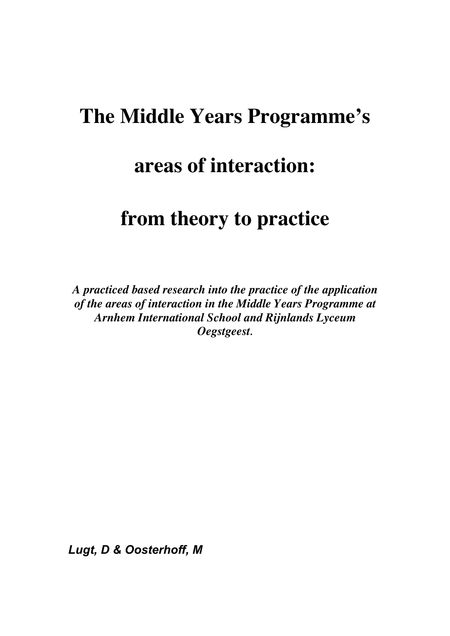# **The Middle Years Programme's**

# **areas of interaction:**

# **from theory to practice**

*A practiced based research into the practice of the application of the areas of interaction in the Middle Years Programme at Arnhem International School and Rijnlands Lyceum Oegstgeest.*

*Lugt, D & Oosterhoff, M*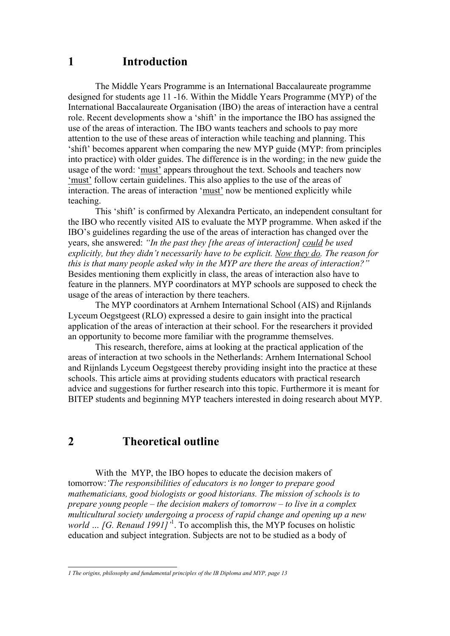## **1 Introduction**

The Middle Years Programme is an International Baccalaureate programme designed for students age 11 -16. Within the Middle Years Programme (MYP) of the International Baccalaureate Organisation (IBO) the areas of interaction have a central role. Recent developments show a 'shift' in the importance the IBO has assigned the use of the areas of interaction. The IBO wants teachers and schools to pay more attention to the use of these areas of interaction while teaching and planning. This 'shift' becomes apparent when comparing the new MYP guide (MYP: from principles into practice) with older guides. The difference is in the wording; in the new guide the usage of the word: 'must' appears throughout the text. Schools and teachers now 'must' follow certain guidelines. This also applies to the use of the areas of interaction. The areas of interaction 'must' now be mentioned explicitly while teaching.

This 'shift' is confirmed by Alexandra Perticato, an independent consultant for the IBO who recently visited AIS to evaluate the MYP programme. When asked if the IBO's guidelines regarding the use of the areas of interaction has changed over the years, she answered: *"In the past they [the areas of interaction] could be used explicitly, but they didn't necessarily have to be explicit. Now they do. The reason for this is that many people asked why in the MYP are there the areas of interaction?"* Besides mentioning them explicitly in class, the areas of interaction also have to feature in the planners. MYP coordinators at MYP schools are supposed to check the usage of the areas of interaction by there teachers.

The MYP coordinators at Arnhem International School (AIS) and Rijnlands Lyceum Oegstgeest (RLO) expressed a desire to gain insight into the practical application of the areas of interaction at their school. For the researchers it provided an opportunity to become more familiar with the programme themselves.

This research, therefore, aims at looking at the practical application of the areas of interaction at two schools in the Netherlands: Arnhem International School and Rijnlands Lyceum Oegstgeest thereby providing insight into the practice at these schools. This article aims at providing students educators with practical research advice and suggestions for further research into this topic. Furthermore it is meant for BITEP students and beginning MYP teachers interested in doing research about MYP.

# **2 Theoretical outline**

With the MYP, the IBO hopes to educate the decision makers of tomorrow:*'The responsibilities of educators is no longer to prepare good mathematicians, good biologists or good historians. The mission of schools is to prepare young people – the decision makers of tomorrow – to live in a complex multicultural society undergoing a process of rapid change and opening up a new world … [G. Renaud 1991]'*<sup>1</sup> . To accomplish this, the MYP focuses on holistic education and subject integration. Subjects are not to be studied as a body of

*1 The origins, philosophy and fundamental principles of the IB Diploma and MYP, page 13*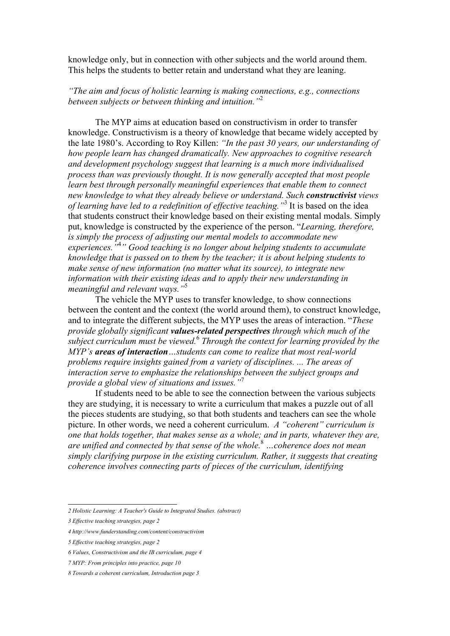knowledge only, but in connection with other subjects and the world around them. This helps the students to better retain and understand what they are leaning.

*"The aim and focus of holistic learning is making connections, e.g., connections between subjects or between thinking and intuition."*<sup>2</sup>

The MYP aims at education based on constructivism in order to transfer knowledge. Constructivism is a theory of knowledge that became widely accepted by the late 1980's. According to Roy Killen: *"In the past 30 years, our understanding of how people learn has changed dramatically. New approaches to cognitive research and development psychology suggest that learning is a much more individualised process than was previously thought. It is now generally accepted that most people learn best through personally meaningful experiences that enable them to connect new knowledge to what they already believe or understand. Such constructivist views of learning have led to a redefinition of effective teaching."*<sup>3</sup> It is based on the idea that students construct their knowledge based on their existing mental modals. Simply put, knowledge is constructed by the experience of the person. "*Learning, therefore, is simply the process of adjusting our mental models to accommodate new experiences."*<sup>4</sup> *" Good teaching is no longer about helping students to accumulate knowledge that is passed on to them by the teacher; it is about helping students to make sense of new information (no matter what its source), to integrate new information with their existing ideas and to apply their new understanding in meaningful and relevant ways."*<sup>5</sup>

The vehicle the MYP uses to transfer knowledge, to show connections between the content and the context (the world around them), to construct knowledge, and to integrate the different subjects, the MYP uses the areas of interaction. "*These provide globally significant values-related perspectives through which much of the subject curriculum must be viewed.*<sup>6</sup>  *Through the context for learning provided by the MYP's areas of interaction…students can come to realize that most real-world problems require insights gained from a variety of disciplines. ... The areas of interaction serve to emphasize the relationships between the subject groups and provide a global view of situations and issues."*<sup>7</sup>

If students need to be able to see the connection between the various subjects they are studying, it is necessary to write a curriculum that makes a puzzle out of all the pieces students are studying, so that both students and teachers can see the whole picture. In other words, we need a coherent curriculum. *A "coherent" curriculum is one that holds together, that makes sense as a whole; and in parts, whatever they are, are unified and connected by that sense of the whole.*<sup>8</sup>  *…coherence does not mean simply clarifying purpose in the existing curriculum. Rather, it suggests that creating coherence involves connecting parts of pieces of the curriculum, identifying*

*2 Holistic Learning: A Teacher's Guide to Integrated Studies. (abstract)*

*<sup>3</sup> Effective teaching strategies, page 2*

*<sup>4</sup> http://www.funderstanding.com/content/constructivism*

*<sup>5</sup> Effective teaching strategies, page 2*

*<sup>6</sup> Values, Constructivism and the IB curriculum, page 4*

*<sup>7</sup> MYP: From principles into practice, page 10*

*<sup>8</sup> Towards a coherent curriculum, Introduction page 3*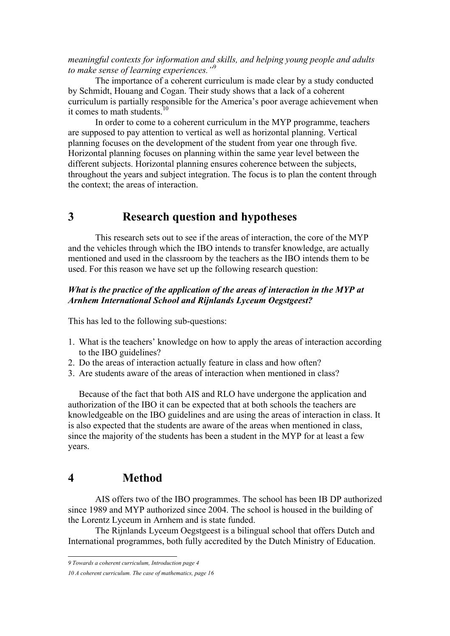#### *meaningful contexts for information and skills, and helping young people and adults to make sense of learning experiences."*<sup>9</sup>

The importance of a coherent curriculum is made clear by a study conducted by Schmidt, Houang and Cogan. Their study shows that a lack of a coherent curriculum is partially responsible for the America's poor average achievement when it comes to math students.<sup>10</sup>

In order to come to a coherent curriculum in the MYP programme, teachers are supposed to pay attention to vertical as well as horizontal planning. Vertical planning focuses on the development of the student from year one through five. Horizontal planning focuses on planning within the same year level between the different subjects. Horizontal planning ensures coherence between the subjects, throughout the years and subject integration. The focus is to plan the content through the context; the areas of interaction.

# **3 Research question and hypotheses**

This research sets out to see if the areas of interaction, the core of the MYP and the vehicles through which the IBO intends to transfer knowledge, are actually mentioned and used in the classroom by the teachers as the IBO intends them to be used. For this reason we have set up the following research question:

### *What is the practice of the application of the areas of interaction in the MYP at Arnhem International School and Rijnlands Lyceum Oegstgeest?*

This has led to the following sub-questions:

- 1. What is the teachers' knowledge on how to apply the areas of interaction according to the IBO guidelines?
- 2. Do the areas of interaction actually feature in class and how often?
- 3. Are students aware of the areas of interaction when mentioned in class?

Because of the fact that both AIS and RLO have undergone the application and authorization of the IBO it can be expected that at both schools the teachers are knowledgeable on the IBO guidelines and are using the areas of interaction in class. It is also expected that the students are aware of the areas when mentioned in class, since the majority of the students has been a student in the MYP for at least a few years.

## **4 Method**

AIS offers two of the IBO programmes. The school has been IB DP authorized since 1989 and MYP authorized since 2004. The school is housed in the building of the Lorentz Lyceum in Arnhem and is state funded.

The Rijnlands Lyceum Oegstgeest is a bilingual school that offers Dutch and International programmes, both fully accredited by the Dutch Ministry of Education.

*9 Towards a coherent curriculum, Introduction page 4*

*<sup>10</sup> A coherent curriculum. The case of mathematics, page 16*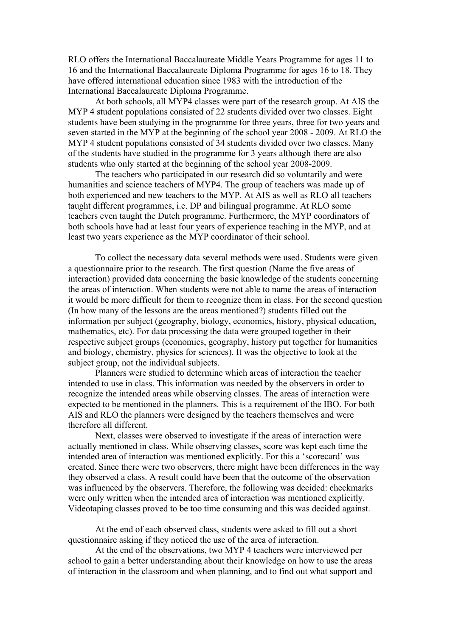RLO offers the International Baccalaureate Middle Years Programme for ages 11 to 16 and the International Baccalaureate Diploma Programme for ages 16 to 18. They have offered international education since 1983 with the introduction of the International Baccalaureate Diploma Programme.

At both schools, all MYP4 classes were part of the research group. At AIS the MYP 4 student populations consisted of 22 students divided over two classes. Eight students have been studying in the programme for three years, three for two years and seven started in the MYP at the beginning of the school year 2008 - 2009. At RLO the MYP 4 student populations consisted of 34 students divided over two classes. Many of the students have studied in the programme for 3 years although there are also students who only started at the beginning of the school year 2008-2009.

The teachers who participated in our research did so voluntarily and were humanities and science teachers of MYP4. The group of teachers was made up of both experienced and new teachers to the MYP. At AIS as well as RLO all teachers taught different programmes, i.e. DP and bilingual programme. At RLO some teachers even taught the Dutch programme. Furthermore, the MYP coordinators of both schools have had at least four years of experience teaching in the MYP, and at least two years experience as the MYP coordinator of their school.

To collect the necessary data several methods were used. Students were given a questionnaire prior to the research. The first question (Name the five areas of interaction) provided data concerning the basic knowledge of the students concerning the areas of interaction. When students were not able to name the areas of interaction it would be more difficult for them to recognize them in class. For the second question (In how many of the lessons are the areas mentioned?) students filled out the information per subject (geography, biology, economics, history, physical education, mathematics, etc). For data processing the data were grouped together in their respective subject groups (economics, geography, history put together for humanities and biology, chemistry, physics for sciences). It was the objective to look at the subject group, not the individual subjects.

Planners were studied to determine which areas of interaction the teacher intended to use in class. This information was needed by the observers in order to recognize the intended areas while observing classes. The areas of interaction were expected to be mentioned in the planners. This is a requirement of the IBO. For both AIS and RLO the planners were designed by the teachers themselves and were therefore all different.

Next, classes were observed to investigate if the areas of interaction were actually mentioned in class. While observing classes, score was kept each time the intended area of interaction was mentioned explicitly. For this a 'scorecard' was created. Since there were two observers, there might have been differences in the way they observed a class. A result could have been that the outcome of the observation was influenced by the observers. Therefore, the following was decided: checkmarks were only written when the intended area of interaction was mentioned explicitly. Videotaping classes proved to be too time consuming and this was decided against.

At the end of each observed class, students were asked to fill out a short questionnaire asking if they noticed the use of the area of interaction.

At the end of the observations, two MYP 4 teachers were interviewed per school to gain a better understanding about their knowledge on how to use the areas of interaction in the classroom and when planning, and to find out what support and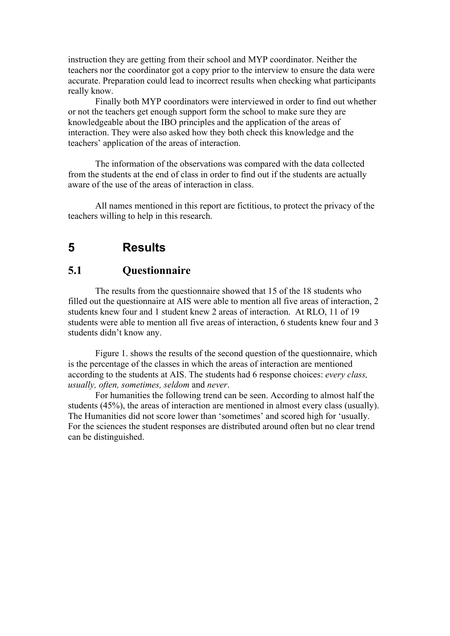instruction they are getting from their school and MYP coordinator. Neither the teachers nor the coordinator got a copy prior to the interview to ensure the data were accurate. Preparation could lead to incorrect results when checking what participants really know.

Finally both MYP coordinators were interviewed in order to find out whether or not the teachers get enough support form the school to make sure they are knowledgeable about the IBO principles and the application of the areas of interaction. They were also asked how they both check this knowledge and the teachers' application of the areas of interaction.

The information of the observations was compared with the data collected from the students at the end of class in order to find out if the students are actually aware of the use of the areas of interaction in class.

All names mentioned in this report are fictitious, to protect the privacy of the teachers willing to help in this research.

# **5 Results**

# **5.1 Questionnaire**

The results from the questionnaire showed that 15 of the 18 students who filled out the questionnaire at AIS were able to mention all five areas of interaction, 2 students knew four and 1 student knew 2 areas of interaction. At RLO, 11 of 19 students were able to mention all five areas of interaction, 6 students knew four and 3 students didn't know any.

Figure 1. shows the results of the second question of the questionnaire, which is the percentage of the classes in which the areas of interaction are mentioned according to the students at AIS. The students had 6 response choices: *every class, usually, often, sometimes, seldom* and *never*.

For humanities the following trend can be seen. According to almost half the students (45%), the areas of interaction are mentioned in almost every class (usually). The Humanities did not score lower than 'sometimes' and scored high for 'usually. For the sciences the student responses are distributed around often but no clear trend can be distinguished.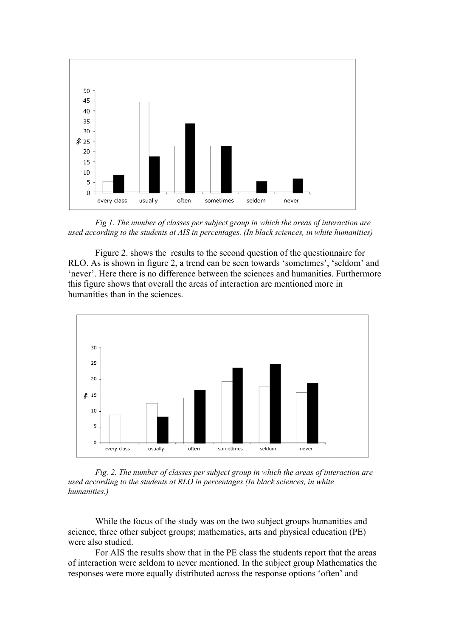

*Fig 1. The number of classes per subject group in which the areas of interaction are used according to the students at AIS in percentages. (In black sciences, in white humanities)*

Figure 2. shows the results to the second question of the questionnaire for RLO. As is shown in figure 2, a trend can be seen towards 'sometimes', 'seldom' and 'never'. Here there is no difference between the sciences and humanities. Furthermore this figure shows that overall the areas of interaction are mentioned more in humanities than in the sciences.



*Fig. 2. The number of classes per subject group in which the areas of interaction are used according to the students at RLO in percentages.(In black sciences, in white humanities.)*

While the focus of the study was on the two subject groups humanities and science, three other subject groups; mathematics, arts and physical education (PE) were also studied.

For AIS the results show that in the PE class the students report that the areas of interaction were seldom to never mentioned. In the subject group Mathematics the responses were more equally distributed across the response options 'often' and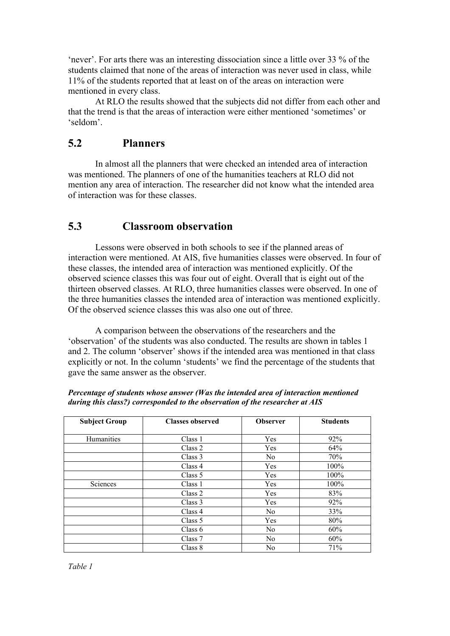'never'. For arts there was an interesting dissociation since a little over 33 % of the students claimed that none of the areas of interaction was never used in class, while 11% of the students reported that at least on of the areas on interaction were mentioned in every class.

At RLO the results showed that the subjects did not differ from each other and that the trend is that the areas of interaction were either mentioned 'sometimes' or 'seldom'.

## **5.2 Planners**

In almost all the planners that were checked an intended area of interaction was mentioned. The planners of one of the humanities teachers at RLO did not mention any area of interaction. The researcher did not know what the intended area of interaction was for these classes.

## **5.3 Classroom observation**

Lessons were observed in both schools to see if the planned areas of interaction were mentioned. At AIS, five humanities classes were observed. In four of these classes, the intended area of interaction was mentioned explicitly. Of the observed science classes this was four out of eight. Overall that is eight out of the thirteen observed classes. At RLO, three humanities classes were observed. In one of the three humanities classes the intended area of interaction was mentioned explicitly. Of the observed science classes this was also one out of three.

A comparison between the observations of the researchers and the 'observation' of the students was also conducted. The results are shown in tables 1 and 2. The column 'observer' shows if the intended area was mentioned in that class explicitly or not. In the column 'students' we find the percentage of the students that gave the same answer as the observer.

| <b>Subject Group</b> | <b>Classes observed</b> | <b>Observer</b> | <b>Students</b> |
|----------------------|-------------------------|-----------------|-----------------|
| Humanities           | Class 1                 | Yes             | 92%             |
|                      | Class 2                 | Yes             | 64%             |
|                      | Class 3                 | N <sub>0</sub>  | 70%             |
|                      | Class 4                 | <b>Yes</b>      | 100%            |
|                      | Class 5                 | Yes             | 100%            |
| Sciences             | Class 1                 | Yes             | 100%            |
|                      | Class 2                 | Yes             | 83%             |
|                      | Class 3                 | Yes             | 92%             |
|                      | Class 4                 | N <sub>0</sub>  | 33%             |
|                      | Class 5                 | Yes             | 80%             |
|                      | Class $6$               | No              | 60%             |
|                      | Class 7                 | N <sub>0</sub>  | 60%             |
|                      | Class 8                 | N <sub>0</sub>  | 71%             |

*Percentage of students whose answer (Was the intended area of interaction mentioned during this class?) corresponded to the observation of the researcher at AIS*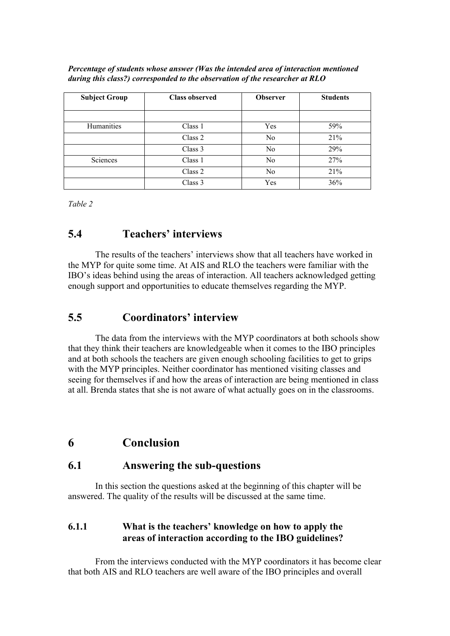| Percentage of students whose answer (Was the intended area of interaction mentioned |  |
|-------------------------------------------------------------------------------------|--|
| during this class?) corresponded to the observation of the researcher at $RLO$      |  |

| <b>Subject Group</b> | <b>Class observed</b> | <b>Observer</b> | <b>Students</b> |
|----------------------|-----------------------|-----------------|-----------------|
|                      |                       |                 |                 |
| Humanities           | Class 1               | Yes             | 59%             |
|                      | Class 2               | No              | 21%             |
|                      | Class 3               | No              | 29%             |
| Sciences             | Class 1               | No              | 27%             |
|                      | Class 2               | No              | 21%             |
|                      | Class 3               | Yes             | 36%             |

*Table 2*

### **5.4 Teachers' interviews**

The results of the teachers' interviews show that all teachers have worked in the MYP for quite some time. At AIS and RLO the teachers were familiar with the IBO's ideas behind using the areas of interaction. All teachers acknowledged getting enough support and opportunities to educate themselves regarding the MYP.

### **5.5 Coordinators' interview**

The data from the interviews with the MYP coordinators at both schools show that they think their teachers are knowledgeable when it comes to the IBO principles and at both schools the teachers are given enough schooling facilities to get to grips with the MYP principles. Neither coordinator has mentioned visiting classes and seeing for themselves if and how the areas of interaction are being mentioned in class at all. Brenda states that she is not aware of what actually goes on in the classrooms.

# **6 Conclusion**

# **6.1 Answering the sub-questions**

In this section the questions asked at the beginning of this chapter will be answered. The quality of the results will be discussed at the same time.

### **6.1.1 What is the teachers' knowledge on how to apply the areas of interaction according to the IBO guidelines?**

From the interviews conducted with the MYP coordinators it has become clear that both AIS and RLO teachers are well aware of the IBO principles and overall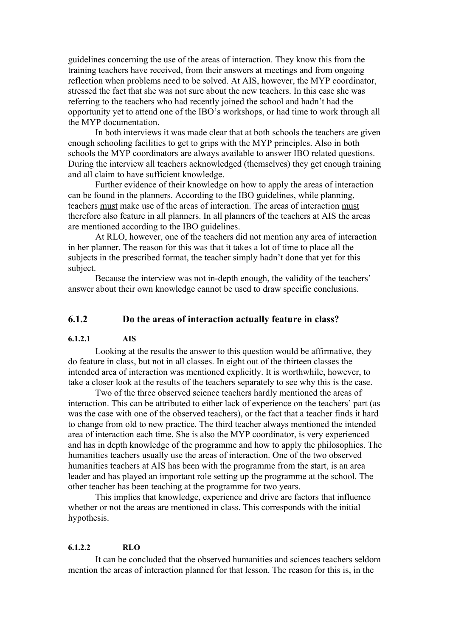guidelines concerning the use of the areas of interaction. They know this from the training teachers have received, from their answers at meetings and from ongoing reflection when problems need to be solved. At AIS, however, the MYP coordinator, stressed the fact that she was not sure about the new teachers. In this case she was referring to the teachers who had recently joined the school and hadn't had the opportunity yet to attend one of the IBO's workshops, or had time to work through all the MYP documentation.

In both interviews it was made clear that at both schools the teachers are given enough schooling facilities to get to grips with the MYP principles. Also in both schools the MYP coordinators are always available to answer IBO related questions. During the interview all teachers acknowledged (themselves) they get enough training and all claim to have sufficient knowledge.

Further evidence of their knowledge on how to apply the areas of interaction can be found in the planners. According to the IBO guidelines, while planning, teachers must make use of the areas of interaction. The areas of interaction must therefore also feature in all planners. In all planners of the teachers at AIS the areas are mentioned according to the IBO guidelines.

At RLO, however, one of the teachers did not mention any area of interaction in her planner. The reason for this was that it takes a lot of time to place all the subjects in the prescribed format, the teacher simply hadn't done that yet for this subject.

Because the interview was not in-depth enough, the validity of the teachers' answer about their own knowledge cannot be used to draw specific conclusions.

### **6.1.2 Do the areas of interaction actually feature in class?**

#### **6.1.2.1 AIS**

Looking at the results the answer to this question would be affirmative, they do feature in class, but not in all classes. In eight out of the thirteen classes the intended area of interaction was mentioned explicitly. It is worthwhile, however, to take a closer look at the results of the teachers separately to see why this is the case.

Two of the three observed science teachers hardly mentioned the areas of interaction. This can be attributed to either lack of experience on the teachers' part (as was the case with one of the observed teachers), or the fact that a teacher finds it hard to change from old to new practice. The third teacher always mentioned the intended area of interaction each time. She is also the MYP coordinator, is very experienced and has in depth knowledge of the programme and how to apply the philosophies. The humanities teachers usually use the areas of interaction. One of the two observed humanities teachers at AIS has been with the programme from the start, is an area leader and has played an important role setting up the programme at the school. The other teacher has been teaching at the programme for two years.

This implies that knowledge, experience and drive are factors that influence whether or not the areas are mentioned in class. This corresponds with the initial hypothesis.

#### **6.1.2.2 RLO**

It can be concluded that the observed humanities and sciences teachers seldom mention the areas of interaction planned for that lesson. The reason for this is, in the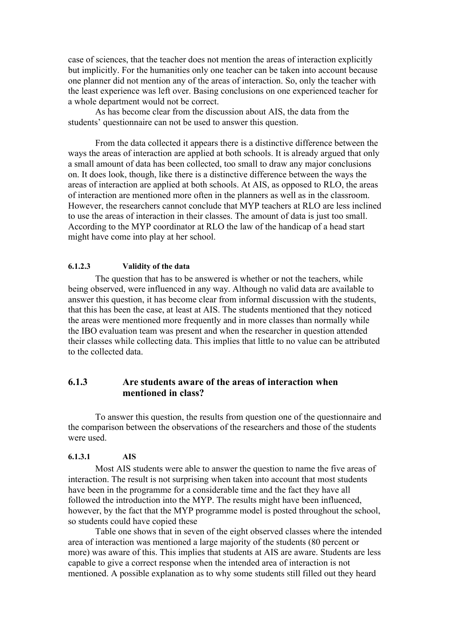case of sciences, that the teacher does not mention the areas of interaction explicitly but implicitly. For the humanities only one teacher can be taken into account because one planner did not mention any of the areas of interaction. So, only the teacher with the least experience was left over. Basing conclusions on one experienced teacher for a whole department would not be correct.

As has become clear from the discussion about AIS, the data from the students' questionnaire can not be used to answer this question.

From the data collected it appears there is a distinctive difference between the ways the areas of interaction are applied at both schools. It is already argued that only a small amount of data has been collected, too small to draw any major conclusions on. It does look, though, like there is a distinctive difference between the ways the areas of interaction are applied at both schools. At AIS, as opposed to RLO, the areas of interaction are mentioned more often in the planners as well as in the classroom. However, the researchers cannot conclude that MYP teachers at RLO are less inclined to use the areas of interaction in their classes. The amount of data is just too small. According to the MYP coordinator at RLO the law of the handicap of a head start might have come into play at her school.

#### **6.1.2.3 Validity of the data**

The question that has to be answered is whether or not the teachers, while being observed, were influenced in any way. Although no valid data are available to answer this question, it has become clear from informal discussion with the students, that this has been the case, at least at AIS. The students mentioned that they noticed the areas were mentioned more frequently and in more classes than normally while the IBO evaluation team was present and when the researcher in question attended their classes while collecting data. This implies that little to no value can be attributed to the collected data.

### **6.1.3 Are students aware of the areas of interaction when mentioned in class?**

To answer this question, the results from question one of the questionnaire and the comparison between the observations of the researchers and those of the students were used.

#### **6.1.3.1 AIS**

Most AIS students were able to answer the question to name the five areas of interaction. The result is not surprising when taken into account that most students have been in the programme for a considerable time and the fact they have all followed the introduction into the MYP. The results might have been influenced, however, by the fact that the MYP programme model is posted throughout the school, so students could have copied these

Table one shows that in seven of the eight observed classes where the intended area of interaction was mentioned a large majority of the students (80 percent or more) was aware of this. This implies that students at AIS are aware. Students are less capable to give a correct response when the intended area of interaction is not mentioned. A possible explanation as to why some students still filled out they heard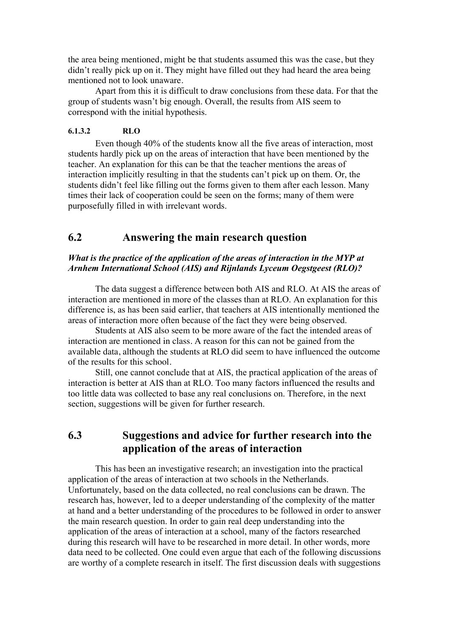the area being mentioned, might be that students assumed this was the case, but they didn't really pick up on it. They might have filled out they had heard the area being mentioned not to look unaware.

Apart from this it is difficult to draw conclusions from these data. For that the group of students wasn't big enough. Overall, the results from AIS seem to correspond with the initial hypothesis.

#### **6.1.3.2 RLO**

Even though 40% of the students know all the five areas of interaction, most students hardly pick up on the areas of interaction that have been mentioned by the teacher. An explanation for this can be that the teacher mentions the areas of interaction implicitly resulting in that the students can't pick up on them. Or, the students didn't feel like filling out the forms given to them after each lesson. Many times their lack of cooperation could be seen on the forms; many of them were purposefully filled in with irrelevant words.

# **6.2 Answering the main research question**

#### *What is the practice of the application of the areas of interaction in the MYP at Arnhem International School (AIS) and Rijnlands Lyceum Oegstgeest (RLO)?*

The data suggest a difference between both AIS and RLO. At AIS the areas of interaction are mentioned in more of the classes than at RLO. An explanation for this difference is, as has been said earlier, that teachers at AIS intentionally mentioned the areas of interaction more often because of the fact they were being observed.

Students at AIS also seem to be more aware of the fact the intended areas of interaction are mentioned in class. A reason for this can not be gained from the available data, although the students at RLO did seem to have influenced the outcome of the results for this school.

Still, one cannot conclude that at AIS, the practical application of the areas of interaction is better at AIS than at RLO. Too many factors influenced the results and too little data was collected to base any real conclusions on. Therefore, in the next section, suggestions will be given for further research.

# **6.3 Suggestions and advice for further research into the application of the areas of interaction**

This has been an investigative research; an investigation into the practical application of the areas of interaction at two schools in the Netherlands. Unfortunately, based on the data collected, no real conclusions can be drawn. The research has, however, led to a deeper understanding of the complexity of the matter at hand and a better understanding of the procedures to be followed in order to answer the main research question. In order to gain real deep understanding into the application of the areas of interaction at a school, many of the factors researched during this research will have to be researched in more detail. In other words, more data need to be collected. One could even argue that each of the following discussions are worthy of a complete research in itself. The first discussion deals with suggestions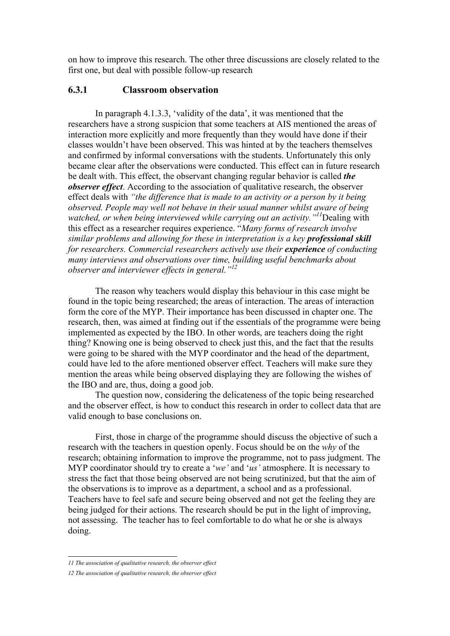on how to improve this research. The other three discussions are closely related to the first one, but deal with possible follow-up research

### **6.3.1 Classroom observation**

In paragraph 4.1.3.3, 'validity of the data', it was mentioned that the researchers have a strong suspicion that some teachers at AIS mentioned the areas of interaction more explicitly and more frequently than they would have done if their classes wouldn't have been observed. This was hinted at by the teachers themselves and confirmed by informal conversations with the students. Unfortunately this only became clear after the observations were conducted. This effect can in future research be dealt with. This effect, the observant changing regular behavior is called *the observer effect*. According to the association of qualitative research, the observer effect deals with *"the difference that is made to an activity or a person by it being observed. People may well not behave in their usual manner whilst aware of being watched, or when being interviewed while carrying out an activity."11* Dealing with this effect as a researcher requires experience. "*Many forms of research involve similar problems and allowing for these in interpretation is a key professional skill for researchers. Commercial researchers actively use their <i>experience* of *conducting many interviews and observations over time, building useful benchmarks about observer and interviewer effects in general."<sup>12</sup>*

The reason why teachers would display this behaviour in this case might be found in the topic being researched; the areas of interaction. The areas of interaction form the core of the MYP. Their importance has been discussed in chapter one. The research, then, was aimed at finding out if the essentials of the programme were being implemented as expected by the IBO. In other words, are teachers doing the right thing? Knowing one is being observed to check just this, and the fact that the results were going to be shared with the MYP coordinator and the head of the department, could have led to the afore mentioned observer effect. Teachers will make sure they mention the areas while being observed displaying they are following the wishes of the IBO and are, thus, doing a good job.

The question now, considering the delicateness of the topic being researched and the observer effect, is how to conduct this research in order to collect data that are valid enough to base conclusions on.

First, those in charge of the programme should discuss the objective of such a research with the teachers in question openly. Focus should be on the *why* of the research; obtaining information to improve the programme, not to pass judgment. The MYP coordinator should try to create a '*we'* and '*us'* atmosphere. It is necessary to stress the fact that those being observed are not being scrutinized, but that the aim of the observations is to improve as a department, a school and as a professional. Teachers have to feel safe and secure being observed and not get the feeling they are being judged for their actions. The research should be put in the light of improving, not assessing. The teacher has to feel comfortable to do what he or she is always doing.

*11 The association of qualitative research, the observer effect*

*<sup>12</sup> The association of qualitative research, the observer effect*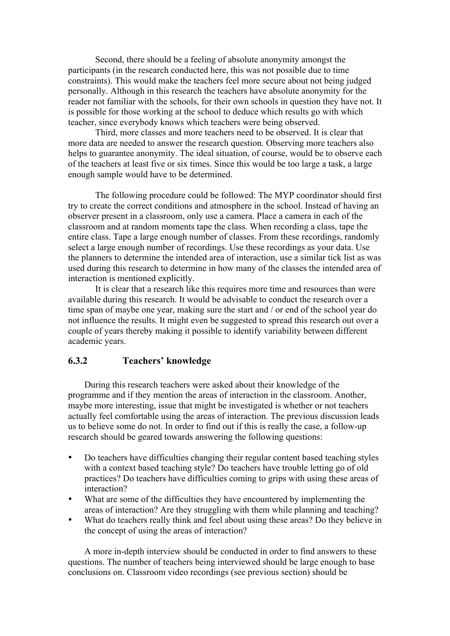Second, there should be a feeling of absolute anonymity amongst the participants (in the research conducted here, this was not possible due to time constraints). This would make the teachers feel more secure about not being judged personally. Although in this research the teachers have absolute anonymity for the reader not familiar with the schools, for their own schools in question they have not. It is possible for those working at the school to deduce which results go with which teacher, since everybody knows which teachers were being observed.

Third, more classes and more teachers need to be observed. It is clear that more data are needed to answer the research question. Observing more teachers also helps to guarantee anonymity. The ideal situation, of course, would be to observe each of the teachers at least five or six times. Since this would be too large a task, a large enough sample would have to be determined.

The following procedure could be followed: The MYP coordinator should first try to create the correct conditions and atmosphere in the school. Instead of having an observer present in a classroom, only use a camera. Place a camera in each of the classroom and at random moments tape the class. When recording a class, tape the entire class. Tape a large enough number of classes. From these recordings, randomly select a large enough number of recordings. Use these recordings as your data. Use the planners to determine the intended area of interaction, use a similar tick list as was used during this research to determine in how many of the classes the intended area of interaction is mentioned explicitly.

It is clear that a research like this requires more time and resources than were available during this research. It would be advisable to conduct the research over a time span of maybe one year, making sure the start and / or end of the school year do not influence the results. It might even be suggested to spread this research out over a couple of years thereby making it possible to identify variability between different academic years.

### **6.3.2 Teachers' knowledge**

During this research teachers were asked about their knowledge of the programme and if they mention the areas of interaction in the classroom. Another, maybe more interesting, issue that might be investigated is whether or not teachers actually feel comfortable using the areas of interaction. The previous discussion leads us to believe some do not. In order to find out if this is really the case, a follow-up research should be geared towards answering the following questions:

- Do teachers have difficulties changing their regular content based teaching styles with a context based teaching style? Do teachers have trouble letting go of old practices? Do teachers have difficulties coming to grips with using these areas of interaction?
- What are some of the difficulties they have encountered by implementing the areas of interaction? Are they struggling with them while planning and teaching?
- What do teachers really think and feel about using these areas? Do they believe in the concept of using the areas of interaction?

A more in-depth interview should be conducted in order to find answers to these questions. The number of teachers being interviewed should be large enough to base conclusions on. Classroom video recordings (see previous section) should be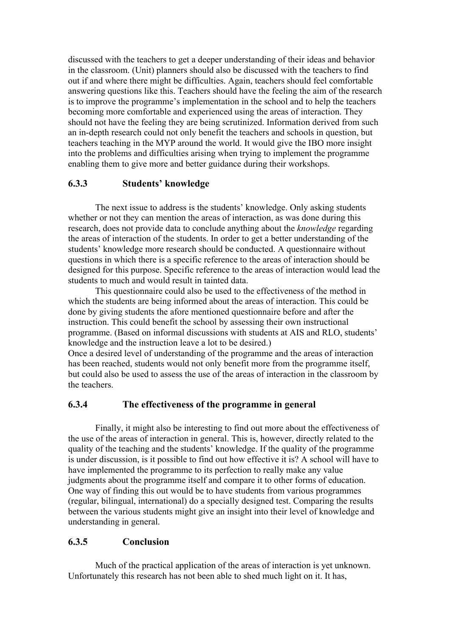discussed with the teachers to get a deeper understanding of their ideas and behavior in the classroom. (Unit) planners should also be discussed with the teachers to find out if and where there might be difficulties. Again, teachers should feel comfortable answering questions like this. Teachers should have the feeling the aim of the research is to improve the programme's implementation in the school and to help the teachers becoming more comfortable and experienced using the areas of interaction. They should not have the feeling they are being scrutinized. Information derived from such an in-depth research could not only benefit the teachers and schools in question, but teachers teaching in the MYP around the world. It would give the IBO more insight into the problems and difficulties arising when trying to implement the programme enabling them to give more and better guidance during their workshops.

### **6.3.3 Students' knowledge**

The next issue to address is the students' knowledge. Only asking students whether or not they can mention the areas of interaction, as was done during this research, does not provide data to conclude anything about the *knowledge* regarding the areas of interaction of the students. In order to get a better understanding of the students' knowledge more research should be conducted. A questionnaire without questions in which there is a specific reference to the areas of interaction should be designed for this purpose. Specific reference to the areas of interaction would lead the students to much and would result in tainted data.

This questionnaire could also be used to the effectiveness of the method in which the students are being informed about the areas of interaction. This could be done by giving students the afore mentioned questionnaire before and after the instruction. This could benefit the school by assessing their own instructional programme. (Based on informal discussions with students at AIS and RLO, students' knowledge and the instruction leave a lot to be desired.)

Once a desired level of understanding of the programme and the areas of interaction has been reached, students would not only benefit more from the programme itself, but could also be used to assess the use of the areas of interaction in the classroom by the teachers.

### **6.3.4 The effectiveness of the programme in general**

Finally, it might also be interesting to find out more about the effectiveness of the use of the areas of interaction in general. This is, however, directly related to the quality of the teaching and the students' knowledge. If the quality of the programme is under discussion, is it possible to find out how effective it is? A school will have to have implemented the programme to its perfection to really make any value judgments about the programme itself and compare it to other forms of education. One way of finding this out would be to have students from various programmes (regular, bilingual, international) do a specially designed test. Comparing the results between the various students might give an insight into their level of knowledge and understanding in general.

### **6.3.5 Conclusion**

Much of the practical application of the areas of interaction is yet unknown. Unfortunately this research has not been able to shed much light on it. It has,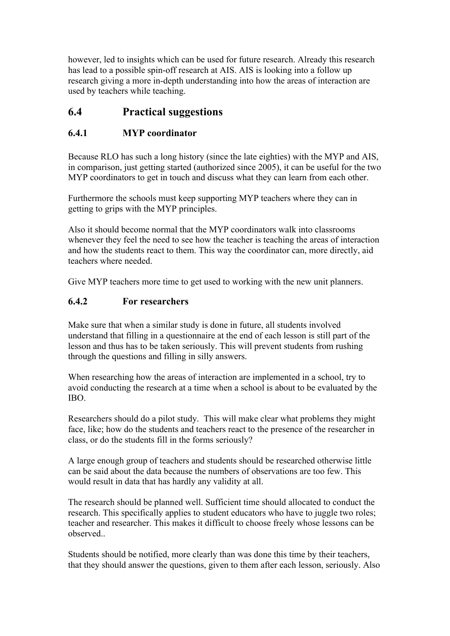however, led to insights which can be used for future research. Already this research has lead to a possible spin-off research at AIS. AIS is looking into a follow up research giving a more in-depth understanding into how the areas of interaction are used by teachers while teaching.

# **6.4 Practical suggestions**

# **6.4.1 MYP coordinator**

Because RLO has such a long history (since the late eighties) with the MYP and AIS, in comparison, just getting started (authorized since 2005), it can be useful for the two MYP coordinators to get in touch and discuss what they can learn from each other.

Furthermore the schools must keep supporting MYP teachers where they can in getting to grips with the MYP principles.

Also it should become normal that the MYP coordinators walk into classrooms whenever they feel the need to see how the teacher is teaching the areas of interaction and how the students react to them. This way the coordinator can, more directly, aid teachers where needed.

Give MYP teachers more time to get used to working with the new unit planners.

# **6.4.2 For researchers**

Make sure that when a similar study is done in future, all students involved understand that filling in a questionnaire at the end of each lesson is still part of the lesson and thus has to be taken seriously. This will prevent students from rushing through the questions and filling in silly answers.

When researching how the areas of interaction are implemented in a school, try to avoid conducting the research at a time when a school is about to be evaluated by the IBO.

Researchers should do a pilot study. This will make clear what problems they might face, like; how do the students and teachers react to the presence of the researcher in class, or do the students fill in the forms seriously?

A large enough group of teachers and students should be researched otherwise little can be said about the data because the numbers of observations are too few. This would result in data that has hardly any validity at all.

The research should be planned well. Sufficient time should allocated to conduct the research. This specifically applies to student educators who have to juggle two roles; teacher and researcher. This makes it difficult to choose freely whose lessons can be observed..

Students should be notified, more clearly than was done this time by their teachers, that they should answer the questions, given to them after each lesson, seriously. Also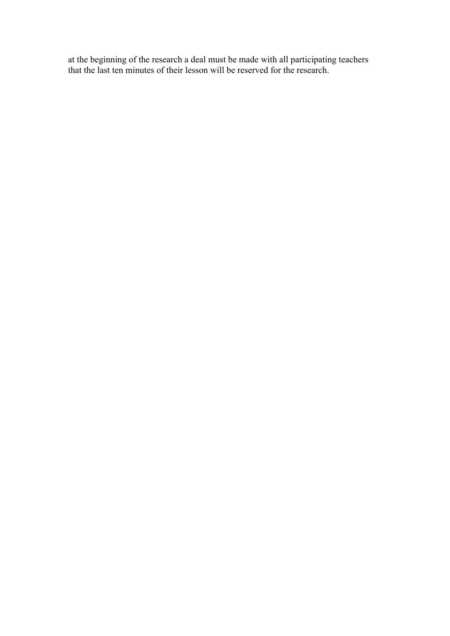at the beginning of the research a deal must be made with all participating teachers that the last ten minutes of their lesson will be reserved for the research.